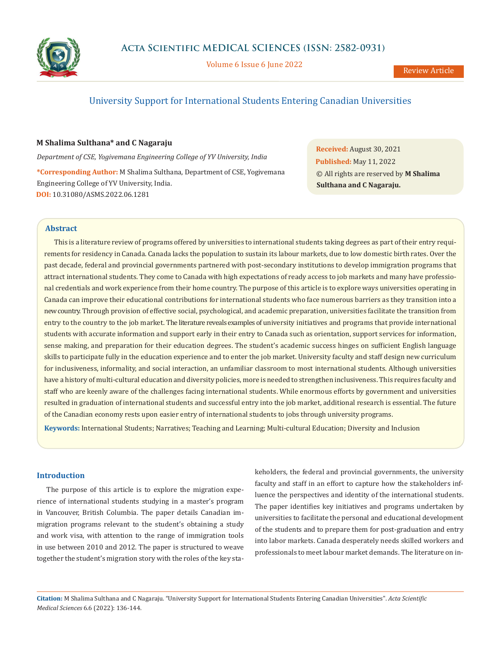

Volume 6 Issue 6 June 2022

# University Support for International Students Entering Canadian Universities

# **M Shalima Sulthana\* and C Nagaraju**

*Department of CSE, Yogivemana Engineering College of YV University, India*

**\*Corresponding Author:** M Shalima Sulthana, Department of CSE, Yogivemana Engineering College of YV University, India. **DOI:** [10.31080/ASMS.2022.06.1281](https://actascientific.com/ASMS/pdf/ASMS-06-1281.pdf)

**Received:** August 30, 2021 **Published:** May 11, 2022 © All rights are reserved by **M Shalima Sulthana and C Nagaraju.**

# **Abstract**

This is a literature review of programs offered by universities to international students taking degrees as part of their entry requirements for residency in Canada. Canada lacks the population to sustain its labour markets, due to low domestic birth rates. Over the past decade, federal and provincial governments partnered with post-secondary institutions to develop immigration programs that attract international students. They come to Canada with high expectations of ready access to job markets and many have professional credentials and work experience from their home country. The purpose of this article is to explore ways universities operating in Canada can improve their educational contributions for international students who face numerous barriers as they transition into a new country. Through provision of effective social, psychological, and academic preparation, universities facilitate the transition from entry to the country to the job market. The literature reveals examples of university initiatives and programs that provide international students with accurate information and support early in their entry to Canada such as orientation, support services for information, sense making, and preparation for their education degrees. The student's academic success hinges on sufficient English language skills to participate fully in the education experience and to enter the job market. University faculty and staff design new curriculum for inclusiveness, informality, and social interaction, an unfamiliar classroom to most international students. Although universities have a history of multi-cultural education and diversity policies, more is needed to strengthen inclusiveness. This requires faculty and staff who are keenly aware of the challenges facing international students. While enormous efforts by government and universities resulted in graduation of international students and successful entry into the job market, additional research is essential. The future of the Canadian economy rests upon easier entry of international students to jobs through university programs.

**Keywords:** International Students; Narratives; Teaching and Learning; Multi-cultural Education; Diversity and Inclusion

# **Introduction**

The purpose of this article is to explore the migration experience of international students studying in a master's program in Vancouver, British Columbia. The paper details Canadian immigration programs relevant to the student's obtaining a study and work visa, with attention to the range of immigration tools in use between 2010 and 2012. The paper is structured to weave together the student's migration story with the roles of the key stakeholders, the federal and provincial governments, the university faculty and staff in an effort to capture how the stakeholders influence the perspectives and identity of the international students. The paper identifies key initiatives and programs undertaken by universities to facilitate the personal and educational development of the students and to prepare them for post-graduation and entry into labor markets. Canada desperately needs skilled workers and professionals to meet labour market demands. The literature on in-

**Citation:** M Shalima Sulthana and C Nagaraju*.* "University Support for International Students Entering Canadian Universities". *Acta Scientific Medical Sciences* 6.6 (2022): 136-144.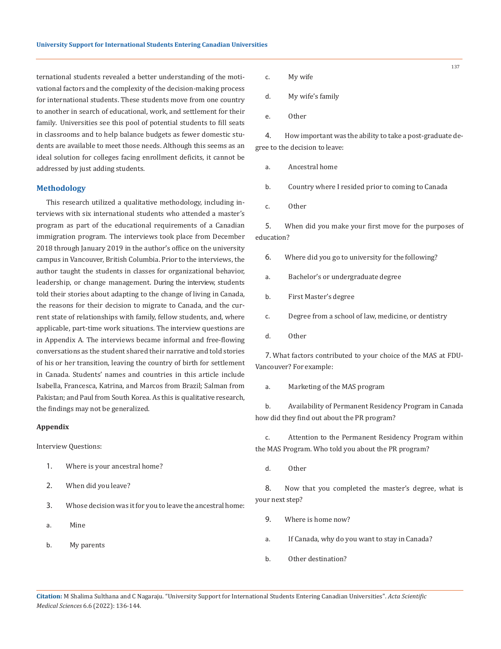ternational students revealed a better understanding of the motivational factors and the complexity of the decision-making process for international students. These students move from one country to another in search of educational, work, and settlement for their family. Universities see this pool of potential students to fill seats in classrooms and to help balance budgets as fewer domestic students are available to meet those needs. Although this seems as an ideal solution for colleges facing enrollment deficits, it cannot be addressed by just adding students.

# **Methodology**

This research utilized a qualitative methodology, including interviews with six international students who attended a master's program as part of the educational requirements of a Canadian immigration program. The interviews took place from December 2018 through January 2019 in the author's office on the university campus in Vancouver, British Columbia. Prior to the interviews, the author taught the students in classes for organizational behavior, leadership, or change management. During the interview, students told their stories about adapting to the change of living in Canada, the reasons for their decision to migrate to Canada, and the current state of relationships with family, fellow students, and, where applicable, part-time work situations. The interview questions are in Appendix A. The interviews became informal and free-flowing conversations as the student shared their narrative and told stories of his or her transition, leaving the country of birth for settlement in Canada. Students' names and countries in this article include Isabella, Francesca, Katrina, and Marcos from Brazil; Salman from Pakistan; and Paul from South Korea. As this is qualitative research, the findings may not be generalized.

### **Appendix**

Interview Questions:

- 1. Where is your ancestral home?
- 2. When did you leave?
- 3. Whose decision was it for you to leave the ancestral home:
- a. Mine
- b. My parents
- c. My wife
- d. My wife's family
- e. Other

4. How important was the ability to take a post-graduate degree to the decision to leave:

- a. Ancestral home
- b. Country where I resided prior to coming to Canada
- c. Other

5. When did you make your first move for the purposes of education?

- 6. Where did you go to university for the following?
- a. Bachelor's or undergraduate degree
- b. First Master's degree
- c. Degree from a school of law, medicine, or dentistry
- d. Other

7. What factors contributed to your choice of the MAS at FDU-Vancouver? For example:

a. Marketing of the MAS program

b. Availability of Permanent Residency Program in Canada how did they find out about the PR program?

c. Attention to the Permanent Residency Program within the MAS Program. Who told you about the PR program?

d. Other

8. Now that you completed the master's degree, what is your next step?

- 9. Where is home now?
- a. If Canada, why do you want to stay in Canada?
- b. Other destination?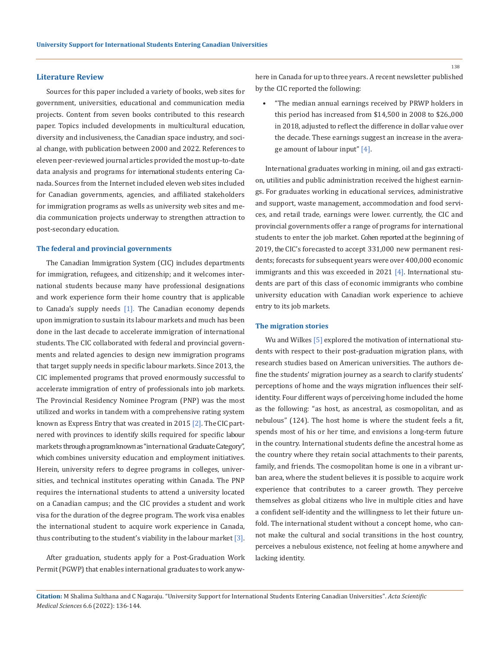## **Literature Review**

Sources for this paper included a variety of books, web sites for government, universities, educational and communication media projects. Content from seven books contributed to this research paper. Topics included developments in multicultural education, diversity and inclusiveness, the Canadian space industry, and social change, with publication between 2000 and 2022. References to eleven peer-reviewed journal articles provided the most up-to-date data analysis and programs for international students entering Canada. Sources from the Internet included eleven web sites included for Canadian governments, agencies, and affiliated stakeholders for immigration programs as wells as university web sites and media communication projects underway to strengthen attraction to post-secondary education.

### **The federal and provincial governments**

The Canadian Immigration System (CIC) includes departments for immigration, refugees, and citizenship; and it welcomes international students because many have professional designations and work experience form their home country that is applicable to Canada's supply needs  $[1]$ . The Canadian economy depends upon immigration to sustain its labour markets and much has been done in the last decade to accelerate immigration of international students. The CIC collaborated with federal and provincial governments and related agencies to design new immigration programs that target supply needs in specific labour markets. Since 2013, the CIC implemented programs that proved enormously successful to accelerate immigration of entry of professionals into job markets. The Provincial Residency Nominee Program (PNP) was the most utilized and works in tandem with a comprehensive rating system known as Express Entry that was created in 2015 [2]. The CIC partnered with provinces to identify skills required for specific labour markets through a program known as "international Graduate Category", which combines university education and employment initiatives. Herein, university refers to degree programs in colleges, universities, and technical institutes operating within Canada. The PNP requires the international students to attend a university located on a Canadian campus; and the CIC provides a student and work visa for the duration of the degree program. The work visa enables the international student to acquire work experience in Canada, thus contributing to the student's viability in the labour market  $[3]$ .

After graduation, students apply for a Post-Graduation Work Permit (PGWP) that enables international graduates to work anywhere in Canada for up to three years. A recent newsletter published by the CIC reported the following:

• "The median annual earnings received by PRWP holders in this period has increased from \$14,500 in 2008 to \$26.,000 in 2018, adjusted to reflect the difference in dollar value over the decade. These earnings suggest an increase in the average amount of labour input" [4].

International graduates working in mining, oil and gas extraction, utilities and public administration received the highest earnings. For graduates working in educational services, administrative and support, waste management, accommodation and food services, and retail trade, earnings were lower. currently, the CIC and provincial governments offer a range of programs for international students to enter the job market. Cohen reported at the beginning of 2019, the CIC's forecasted to accept 331,000 new permanent residents; forecasts for subsequent years were over 400,000 economic immigrants and this was exceeded in 2021 [4]. International students are part of this class of economic immigrants who combine university education with Canadian work experience to achieve entry to its job markets.

#### **The migration stories**

Wu and Wilkes [5] explored the motivation of international students with respect to their post-graduation migration plans, with research studies based on American universities. The authors define the students' migration journey as a search to clarify students' perceptions of home and the ways migration influences their selfidentity. Four different ways of perceiving home included the home as the following: "as host, as ancestral, as cosmopolitan, and as nebulous" (124). The host home is where the student feels a fit, spends most of his or her time, and envisions a long-term future in the country. International students define the ancestral home as the country where they retain social attachments to their parents, family, and friends. The cosmopolitan home is one in a vibrant urban area, where the student believes it is possible to acquire work experience that contributes to a career growth. They perceive themselves as global citizens who live in multiple cities and have a confident self-identity and the willingness to let their future unfold. The international student without a concept home, who cannot make the cultural and social transitions in the host country, perceives a nebulous existence, not feeling at home anywhere and lacking identity.

**Citation:** M Shalima Sulthana and C Nagaraju*.* "University Support for International Students Entering Canadian Universities". *Acta Scientific Medical Sciences* 6.6 (2022): 136-144.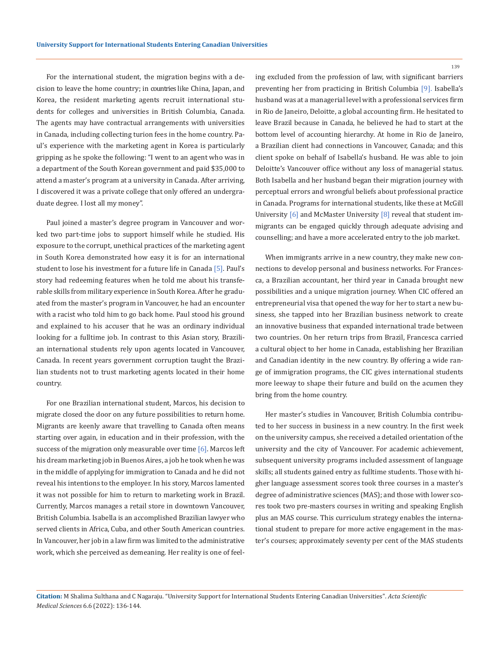For the international student, the migration begins with a decision to leave the home country; in countries like China, Japan, and Korea, the resident marketing agents recruit international students for colleges and universities in British Columbia, Canada. The agents may have contractual arrangements with universities in Canada, including collecting turion fees in the home country. Paul's experience with the marketing agent in Korea is particularly gripping as he spoke the following: "I went to an agent who was in a department of the South Korean government and paid \$35,000 to attend a master's program at a university in Canada. After arriving, I discovered it was a private college that only offered an undergraduate degree. I lost all my money".

Paul joined a master's degree program in Vancouver and worked two part-time jobs to support himself while he studied. His exposure to the corrupt, unethical practices of the marketing agent in South Korea demonstrated how easy it is for an international student to lose his investment for a future life in Canada [5]. Paul's story had redeeming features when he told me about his transferable skills from military experience in South Korea. After he graduated from the master's program in Vancouver, he had an encounter with a racist who told him to go back home. Paul stood his ground and explained to his accuser that he was an ordinary individual looking for a fulltime job. In contrast to this Asian story, Brazilian international students rely upon agents located in Vancouver, Canada. In recent years government corruption taught the Brazilian students not to trust marketing agents located in their home country.

For one Brazilian international student, Marcos, his decision to migrate closed the door on any future possibilities to return home. Migrants are keenly aware that travelling to Canada often means starting over again, in education and in their profession, with the success of the migration only measurable over time  $[6]$ . Marcos left his dream marketing job in Buenos Aires, a job he took when he was in the middle of applying for immigration to Canada and he did not reveal his intentions to the employer. In his story, Marcos lamented it was not possible for him to return to marketing work in Brazil. Currently, Marcos manages a retail store in downtown Vancouver, British Columbia. Isabella is an accomplished Brazilian lawyer who served clients in Africa, Cuba, and other South American countries. In Vancouver, her job in a law firm was limited to the administrative work, which she perceived as demeaning. Her reality is one of feeling excluded from the profession of law, with significant barriers preventing her from practicing in British Columbia [9]. Isabella's husband was at a managerial level with a professional services firm in Rio de Janeiro, Deloitte, a global accounting firm. He hesitated to leave Brazil because in Canada, he believed he had to start at the bottom level of accounting hierarchy. At home in Rio de Janeiro, a Brazilian client had connections in Vancouver, Canada; and this client spoke on behalf of Isabella's husband. He was able to join Deloitte's Vancouver office without any loss of managerial status. Both Isabella and her husband began their migration journey with perceptual errors and wrongful beliefs about professional practice in Canada. Programs for international students, like these at McGill University [6] and McMaster University [8] reveal that student immigrants can be engaged quickly through adequate advising and counselling; and have a more accelerated entry to the job market.

When immigrants arrive in a new country, they make new connections to develop personal and business networks. For Francesca, a Brazilian accountant, her third year in Canada brought new possibilities and a unique migration journey. When CIC offered an entrepreneurial visa that opened the way for her to start a new business, she tapped into her Brazilian business network to create an innovative business that expanded international trade between two countries. On her return trips from Brazil, Francesca carried a cultural object to her home in Canada, establishing her Brazilian and Canadian identity in the new country. By offering a wide range of immigration programs, the CIC gives international students more leeway to shape their future and build on the acumen they bring from the home country.

Her master's studies in Vancouver, British Columbia contributed to her success in business in a new country. In the first week on the university campus, she received a detailed orientation of the university and the city of Vancouver. For academic achievement, subsequent university programs included assessment of language skills; all students gained entry as fulltime students. Those with higher language assessment scores took three courses in a master's degree of administrative sciences (MAS); and those with lower scores took two pre-masters courses in writing and speaking English plus an MAS course. This curriculum strategy enables the international student to prepare for more active engagement in the master's courses; approximately seventy per cent of the MAS students

**Citation:** M Shalima Sulthana and C Nagaraju*.* "University Support for International Students Entering Canadian Universities". *Acta Scientific Medical Sciences* 6.6 (2022): 136-144.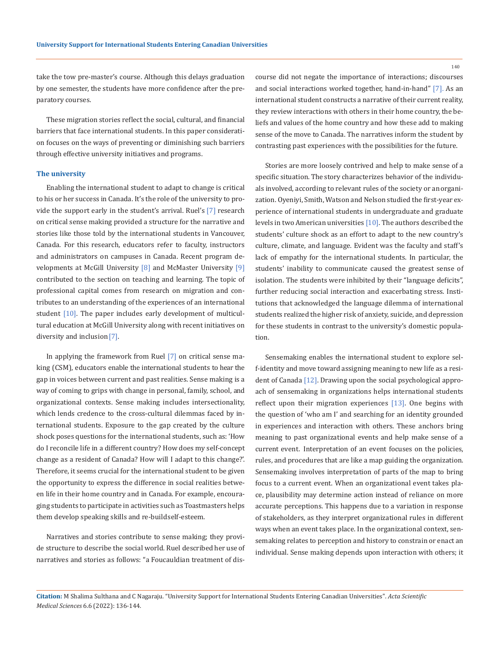140

take the tow pre-master's course. Although this delays graduation by one semester, the students have more confidence after the preparatory courses.

These migration stories reflect the social, cultural, and financial barriers that face international students. In this paper consideration focuses on the ways of preventing or diminishing such barriers through effective university initiatives and programs.

### **The university**

Enabling the international student to adapt to change is critical to his or her success in Canada. It's the role of the university to provide the support early in the student's arrival. Ruel's [7] research on critical sense making provided a structure for the narrative and stories like those told by the international students in Vancouver, Canada. For this research, educators refer to faculty, instructors and administrators on campuses in Canada. Recent program developments at McGill University [8] and McMaster University [9] contributed to the section on teaching and learning. The topic of professional capital comes from research on migration and contributes to an understanding of the experiences of an international student  $[10]$ . The paper includes early development of multicultural education at McGill University along with recent initiatives on diversity and inclusion [7].

In applying the framework from Ruel [7] on critical sense making (CSM), educators enable the international students to hear the gap in voices between current and past realities. Sense making is a way of coming to grips with change in personal, family, school, and organizational contexts. Sense making includes intersectionality, which lends credence to the cross-cultural dilemmas faced by international students. Exposure to the gap created by the culture shock poses questions for the international students, such as: 'How do I reconcile life in a different country? How does my self-concept change as a resident of Canada? How will I adapt to this change?'. Therefore, it seems crucial for the international student to be given the opportunity to express the difference in social realities between life in their home country and in Canada. For example, encouraging students to participate in activities such as Toastmasters helps them develop speaking skills and re-build self-esteem.

Narratives and stories contribute to sense making; they provide structure to describe the social world. Ruel described her use of narratives and stories as follows: "a Foucauldian treatment of discourse did not negate the importance of interactions; discourses and social interactions worked together, hand-in-hand" [7]. As an international student constructs a narrative of their current reality, they review interactions with others in their home country, the beliefs and values of the home country and how these add to making sense of the move to Canada. The narratives inform the student by contrasting past experiences with the possibilities for the future.

Stories are more loosely contrived and help to make sense of a specific situation. The story characterizes behavior of the individuals involved, according to relevant rules of the society or an organization. Oyeniyi, Smith, Watson and Nelson studied the first-year experience of international students in undergraduate and graduate levels in two American universities [10]. The authors described the students' culture shock as an effort to adapt to the new country's culture, climate, and language. Evident was the faculty and staff's lack of empathy for the international students. In particular, the students' inability to communicate caused the greatest sense of isolation. The students were inhibited by their "language deficits", further reducing social interaction and exacerbating stress. Institutions that acknowledged the language dilemma of international students realized the higher risk of anxiety, suicide, and depression for these students in contrast to the university's domestic population.

Sensemaking enables the international student to explore self-identity and move toward assigning meaning to new life as a resident of Canada [12]. Drawing upon the social psychological approach of sensemaking in organizations helps international students reflect upon their migration experiences [13]. One begins with the question of 'who am I' and searching for an identity grounded in experiences and interaction with others. These anchors bring meaning to past organizational events and help make sense of a current event. Interpretation of an event focuses on the policies, rules, and procedures that are like a map guiding the organization. Sensemaking involves interpretation of parts of the map to bring focus to a current event. When an organizational event takes place, plausibility may determine action instead of reliance on more accurate perceptions. This happens due to a variation in response of stakeholders, as they interpret organizational rules in different ways when an event takes place. In the organizational context, sensemaking relates to perception and history to constrain or enact an individual. Sense making depends upon interaction with others; it

**Citation:** M Shalima Sulthana and C Nagaraju*.* "University Support for International Students Entering Canadian Universities". *Acta Scientific Medical Sciences* 6.6 (2022): 136-144.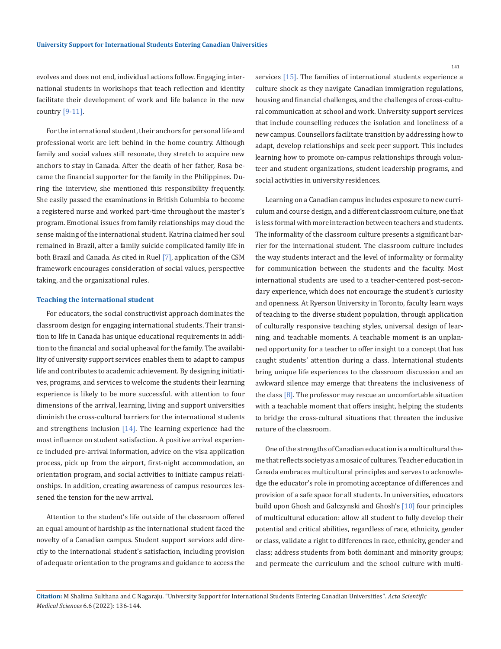evolves and does not end, individual actions follow. Engaging international students in workshops that teach reflection and identity facilitate their development of work and life balance in the new country [9-11].

For the international student, their anchors for personal life and professional work are left behind in the home country. Although family and social values still resonate, they stretch to acquire new anchors to stay in Canada. After the death of her father, Rosa became the financial supporter for the family in the Philippines. During the interview, she mentioned this responsibility frequently. She easily passed the examinations in British Columbia to become a registered nurse and worked part-time throughout the master's program. Emotional issues from family relationships may cloud the sense making of the international student. Katrina claimed her soul remained in Brazil, after a family suicide complicated family life in both Brazil and Canada. As cited in Ruel [7], application of the CSM framework encourages consideration of social values, perspective taking, and the organizational rules.

### **Teaching the international student**

For educators, the social constructivist approach dominates the classroom design for engaging international students. Their transition to life in Canada has unique educational requirements in addition to the financial and social upheaval for the family. The availability of university support services enables them to adapt to campus life and contributes to academic achievement. By designing initiatives, programs, and services to welcome the students their learning experience is likely to be more successful. with attention to four dimensions of the arrival, learning, living and support universities diminish the cross-cultural barriers for the international students and strengthens inclusion  $[14]$ . The learning experience had the most influence on student satisfaction. A positive arrival experience included pre-arrival information, advice on the visa application process, pick up from the airport, first-night accommodation, an orientation program, and social activities to initiate campus relationships. In addition, creating awareness of campus resources lessened the tension for the new arrival.

Attention to the student's life outside of the classroom offered an equal amount of hardship as the international student faced the novelty of a Canadian campus. Student support services add directly to the international student's satisfaction, including provision of adequate orientation to the programs and guidance to access the

services [15]. The families of international students experience a culture shock as they navigate Canadian immigration regulations, housing and financial challenges, and the challenges of cross-cultural communication at school and work. University support services that include counselling reduces the isolation and loneliness of a new campus. Counsellors facilitate transition by addressing how to adapt, develop relationships and seek peer support. This includes learning how to promote on-campus relationships through volunteer and student organizations, student leadership programs, and social activities in university residences.

Learning on a Canadian campus includes exposure to new curriculum and course design, and a different classroom culture, one that is less formal with more interaction between teachers and students. The informality of the classroom culture presents a significant barrier for the international student. The classroom culture includes the way students interact and the level of informality or formality for communication between the students and the faculty. Most international students are used to a teacher-centered post-secondary experience, which does not encourage the student's curiosity and openness. At Ryerson University in Toronto, faculty learn ways of teaching to the diverse student population, through application of culturally responsive teaching styles, universal design of learning, and teachable moments. A teachable moment is an unplanned opportunity for a teacher to offer insight to a concept that has caught students' attention during a class. International students bring unique life experiences to the classroom discussion and an awkward silence may emerge that threatens the inclusiveness of the class  $[8]$ . The professor may rescue an uncomfortable situation with a teachable moment that offers insight, helping the students to bridge the cross-cultural situations that threaten the inclusive nature of the classroom.

One of the strengths of Canadian education is a multicultural theme that reflects society as a mosaic of cultures. Teacher education in Canada embraces multicultural principles and serves to acknowledge the educator's role in promoting acceptance of differences and provision of a safe space for all students. In universities, educators build upon Ghosh and Galczynski and Ghosh's [10] four principles of multicultural education: allow all student to fully develop their potential and critical abilities, regardless of race, ethnicity, gender or class, validate a right to differences in race, ethnicity, gender and class; address students from both dominant and minority groups; and permeate the curriculum and the school culture with multi-

**Citation:** M Shalima Sulthana and C Nagaraju*.* "University Support for International Students Entering Canadian Universities". *Acta Scientific Medical Sciences* 6.6 (2022): 136-144.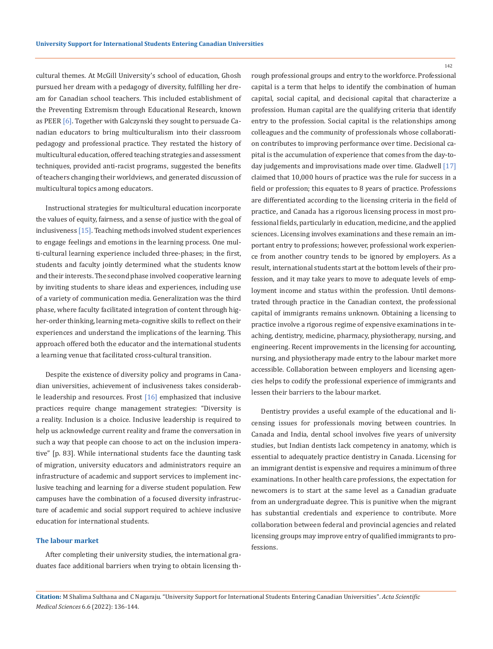cultural themes. At McGill University's school of education, Ghosh pursued her dream with a pedagogy of diversity, fulfilling her dream for Canadian school teachers. This included establishment of the Preventing Extremism through Educational Research, known as PEER [6]. Together with Galczynski they sought to persuade Canadian educators to bring multiculturalism into their classroom pedagogy and professional practice. They restated the history of multicultural education, offered teaching strategies and assessment techniques, provided anti-racist programs, suggested the benefits of teachers changing their worldviews, and generated discussion of multicultural topics among educators.

Instructional strategies for multicultural education incorporate the values of equity, fairness, and a sense of justice with the goal of inclusiveness [15]. Teaching methods involved student experiences to engage feelings and emotions in the learning process. One multi-cultural learning experience included three-phases; in the first, students and faculty jointly determined what the students know and their interests. The second phase involved cooperative learning by inviting students to share ideas and experiences, including use of a variety of communication media. Generalization was the third phase, where faculty facilitated integration of content through higher-order thinking, learning meta-cognitive skills to reflect on their experiences and understand the implications of the learning. This approach offered both the educator and the international students a learning venue that facilitated cross-cultural transition.

Despite the existence of diversity policy and programs in Canadian universities, achievement of inclusiveness takes considerable leadership and resources. Frost [16] emphasized that inclusive practices require change management strategies: "Diversity is a reality. Inclusion is a choice. Inclusive leadership is required to help us acknowledge current reality and frame the conversation in such a way that people can choose to act on the inclusion imperative" [p. 83]. While international students face the daunting task of migration, university educators and administrators require an infrastructure of academic and support services to implement inclusive teaching and learning for a diverse student population. Few campuses have the combination of a focused diversity infrastructure of academic and social support required to achieve inclusive education for international students.

# **The labour market**

After completing their university studies, the international graduates face additional barriers when trying to obtain licensing through professional groups and entry to the workforce. Professional capital is a term that helps to identify the combination of human capital, social capital, and decisional capital that characterize a profession. Human capital are the qualifying criteria that identify entry to the profession. Social capital is the relationships among colleagues and the community of professionals whose collaboration contributes to improving performance over time. Decisional capital is the accumulation of experience that comes from the day-today judgements and improvisations made over time. Gladwell [17] claimed that 10,000 hours of practice was the rule for success in a field or profession; this equates to 8 years of practice. Professions are differentiated according to the licensing criteria in the field of practice, and Canada has a rigorous licensing process in most professional fields, particularly in education, medicine, and the applied sciences. Licensing involves examinations and these remain an important entry to professions; however, professional work experience from another country tends to be ignored by employers. As a result, international students start at the bottom levels of their profession, and it may take years to move to adequate levels of employment income and status within the profession. Until demonstrated through practice in the Canadian context, the professional capital of immigrants remains unknown. Obtaining a licensing to practice involve a rigorous regime of expensive examinations in teaching, dentistry, medicine, pharmacy, physiotherapy, nursing, and engineering. Recent improvements in the licensing for accounting, nursing, and physiotherapy made entry to the labour market more accessible. Collaboration between employers and licensing agencies helps to codify the professional experience of immigrants and lessen their barriers to the labour market.

Dentistry provides a useful example of the educational and licensing issues for professionals moving between countries. In Canada and India, dental school involves five years of university studies, but Indian dentists lack competency in anatomy, which is essential to adequately practice dentistry in Canada. Licensing for an immigrant dentist is expensive and requires a minimum of three examinations. In other health care professions, the expectation for newcomers is to start at the same level as a Canadian graduate from an undergraduate degree. This is punitive when the migrant has substantial credentials and experience to contribute. More collaboration between federal and provincial agencies and related licensing groups may improve entry of qualified immigrants to professions.

**Citation:** M Shalima Sulthana and C Nagaraju*.* "University Support for International Students Entering Canadian Universities". *Acta Scientific Medical Sciences* 6.6 (2022): 136-144.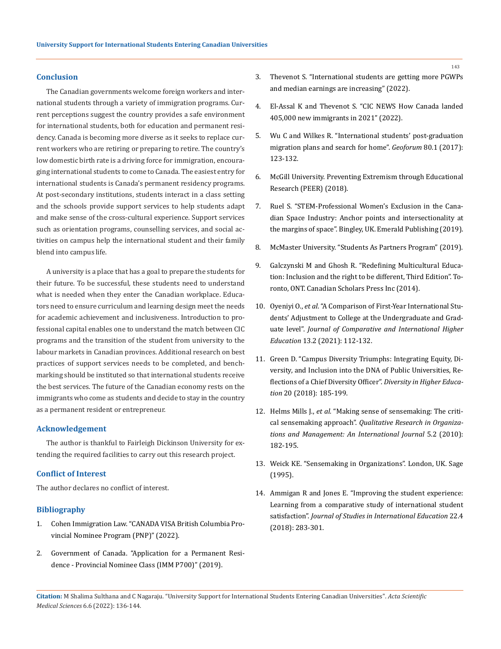# **Conclusion**

The Canadian governments welcome foreign workers and international students through a variety of immigration programs. Current perceptions suggest the country provides a safe environment for international students, both for education and permanent residency. Canada is becoming more diverse as it seeks to replace current workers who are retiring or preparing to retire. The country's low domestic birth rate is a driving force for immigration, encouraging international students to come to Canada. The easiest entry for international students is Canada's permanent residency programs. At post-secondary institutions, students interact in a class setting and the schools provide support services to help students adapt and make sense of the cross-cultural experience. Support services such as orientation programs, counselling services, and social activities on campus help the international student and their family blend into campus life.

A university is a place that has a goal to prepare the students for their future. To be successful, these students need to understand what is needed when they enter the Canadian workplace. Educators need to ensure curriculum and learning design meet the needs for academic achievement and inclusiveness. Introduction to professional capital enables one to understand the match between CIC programs and the transition of the student from university to the labour markets in Canadian provinces. Additional research on best practices of support services needs to be completed, and benchmarking should be instituted so that international students receive the best services. The future of the Canadian economy rests on the immigrants who come as students and decide to stay in the country as a permanent resident or entrepreneur.

# **Acknowledgement**

The author is thankful to Fairleigh Dickinson University for extending the required facilities to carry out this research project.

# **Conflict of Interest**

The author declares no conflict of interest.

# **Bibliography**

- 1. [Cohen Immigration Law. "CANADA VISA British Columbia Pro](https://www.canadavisa.com/british-columbia-provincial-nominee-program.html)[vincial Nominee Program \(PNP\)" \(2022\).](https://www.canadavisa.com/british-columbia-provincial-nominee-program.html)
- 2. Government of Canada. "Application for a Permanent Residence - Provincial Nominee Class (IMM P700)" (2019).
- 3. Thevenot S. "International students are getting more PGWPs and median earnings are increasing" (2022).
- 4. El-Assal K and Thevenot S. "CIC NEWS How Canada landed 405,000 new immigrants in 2021" (2022).
- 5. [Wu C and Wilkes R. "International students' post-graduation](https://www.sciencedirect.com/science/article/abs/pii/S0016718517300222)  [migration plans and search for home".](https://www.sciencedirect.com/science/article/abs/pii/S0016718517300222) *Geoforum* 80.1 (2017): [123-132.](https://www.sciencedirect.com/science/article/abs/pii/S0016718517300222)
- 6. [McGill University. Preventing Extremism through Educational](https://mcgill.ca/peer/)  [Research \(PEER\) \(2018\).](https://mcgill.ca/peer/)
- 7. [Ruel S. "STEM-Professional Women's Exclusion in the Cana](https://www.amazon.com/Stem-Professional-Womens-Exclusion-Canadian-Industry/dp/1787695700)[dian Space Industry: Anchor points and intersectionality at](https://www.amazon.com/Stem-Professional-Womens-Exclusion-Canadian-Industry/dp/1787695700)  [the margins of space". Bingley, UK. Emerald Publishing \(2019\).](https://www.amazon.com/Stem-Professional-Womens-Exclusion-Canadian-Industry/dp/1787695700)
- 8. [McMaster University. "Students As Partners Program" \(2019\).](https://teaching.mcmaster.ca/student-partners-program/)
- 9. Galczynski M and Ghosh R. "Redefining Multicultural Education: Inclusion and the right to be different, Third Edition". Toronto, ONT. Canadian Scholars Press Inc (2014).
- 10. Oyeniyi O., *et al*[. "A Comparison of First-Year International Stu](https://www.ojed.org/index.php/jcihe/article/view/2584)[dents' Adjustment to College at the Undergraduate and Grad](https://www.ojed.org/index.php/jcihe/article/view/2584)uate level". *[Journal of Comparative and International Higher](https://www.ojed.org/index.php/jcihe/article/view/2584)  Education* [13.2 \(2021\): 112-132.](https://www.ojed.org/index.php/jcihe/article/view/2584)
- 11. Green D. "Campus Diversity Triumphs: Integrating Equity, Diversity, and Inclusion into the DNA of Public Universities, Reflections of a Chief Diversity Officer". *Diversity in Higher Education* 20 (2018): 185-199.
- 12. Helms Mills J., *et al.* "Making sense of sensemaking: The critical sensemaking approach". *Qualitative Research in Organizations and Management: An International Journal* 5.2 (2010): 182-195.
- 13. Weick KE. "Sensemaking in Organizations". London, UK. Sage (1995).
- 14. [Ammigan R and Jones E. "Improving the student experience:](https://www.researchgate.net/publication/325270576_Improving_the_Student_Experience_Learning_From_a_Comparative_Study_of_International_Student_Satisfaction)  [Learning from a comparative study of international student](https://www.researchgate.net/publication/325270576_Improving_the_Student_Experience_Learning_From_a_Comparative_Study_of_International_Student_Satisfaction)  satisfaction". *[Journal of Studies in International Education](https://www.researchgate.net/publication/325270576_Improving_the_Student_Experience_Learning_From_a_Comparative_Study_of_International_Student_Satisfaction)* 22.4 [\(2018\): 283-301.](https://www.researchgate.net/publication/325270576_Improving_the_Student_Experience_Learning_From_a_Comparative_Study_of_International_Student_Satisfaction)

**Citation:** M Shalima Sulthana and C Nagaraju*.* "University Support for International Students Entering Canadian Universities". *Acta Scientific Medical Sciences* 6.6 (2022): 136-144.